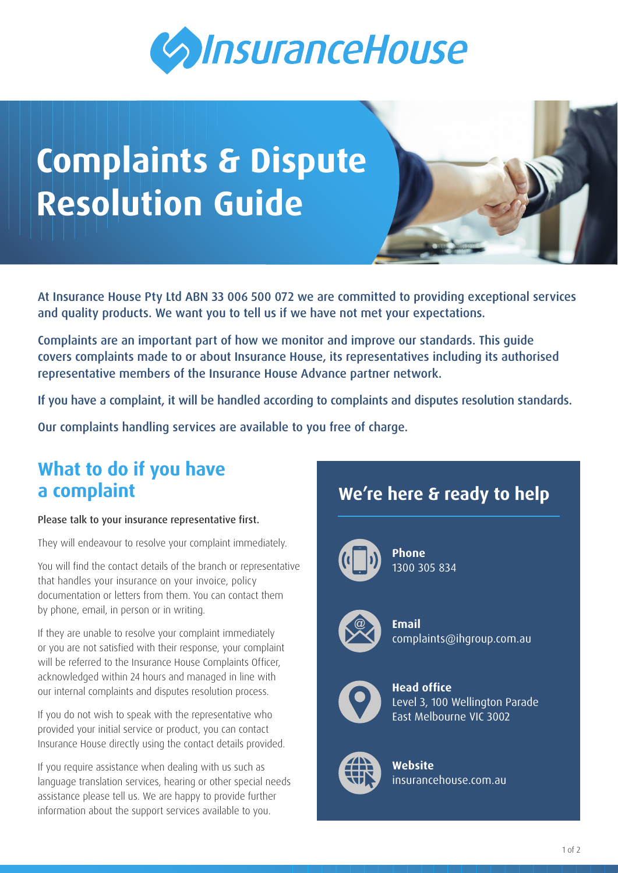

# **Complaints & Dispute Resolution Guide**

At Insurance House Pty Ltd ABN 33 006 500 072 we are committed to providing exceptional services and quality products. We want you to tell us if we have not met your expectations.

Complaints are an important part of how we monitor and improve our standards. This guide covers complaints made to or about Insurance House, its representatives including its authorised representative members of the Insurance House Advance partner network.

If you have a complaint, it will be handled according to complaints and disputes resolution standards.

Our complaints handling services are available to you free of charge.

## **What to do if you have a complaint**

#### Please talk to your insurance representative first.

They will endeavour to resolve your complaint immediately.

You will find the contact details of the branch or representative that handles your insurance on your invoice, policy documentation or letters from them. You can contact them by phone, email, in person or in writing.

If they are unable to resolve your complaint immediately or you are not satisfied with their response, your complaint will be referred to the Insurance House Complaints Officer, acknowledged within 24 hours and managed in line with our internal complaints and disputes resolution process.

If you do not wish to speak with the representative who provided your initial service or product, you can contact Insurance House directly using the contact details provided.

If you require assistance when dealing with us such as language translation services, hearing or other special needs assistance please tell us. We are happy to provide further information about the support services available to you.

# **We're here & ready to help**



**Phone** 1300 305 834



**Email** [complaints@ihgroup.com.au](mailto:complaints%40ihgroup.com.au?subject=)



**Head office** Level 3, 100 Wellington Parade East Melbourne VIC 3002



**Website** [insurancehouse.com.au](http://www.insurancehouse.com.au)